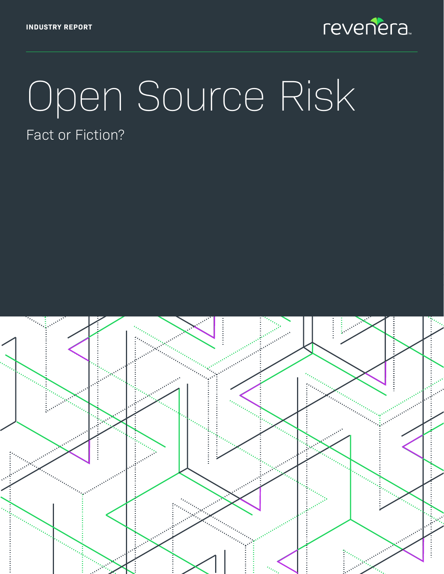

# Open Source Risk Fact or Fiction?

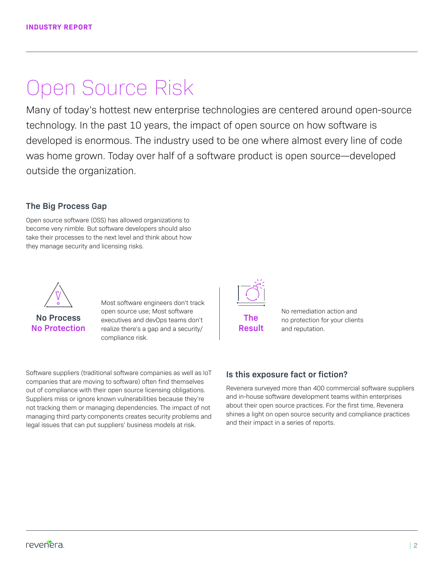# Open Source Risk

Many of today's hottest new enterprise technologies are centered around open-source technology. In the past 10 years, the impact of open source on how software is developed is enormous. The industry used to be one where almost every line of code was home grown. Today over half of a software product is open source—developed outside the organization.

### **The Big Process Gap**

Open source software (OSS) has allowed organizations to become very nimble. But software developers should also take their processes to the next level and think about how they manage security and licensing risks.



### **No Process No Protection**

Most software engineers don't track open source use; Most software executives and devOps teams don't realize there's a gap and a security/ compliance risk.

Software suppliers (traditional software companies as well as IoT companies that are moving to software) often find themselves out of compliance with their open source licensing obligations. Suppliers miss or ignore known vulnerabilities because they're not tracking them or managing dependencies. The impact of not managing third party components creates security problems and legal issues that can put suppliers' business models at risk.



No remediation action and no protection for your clients and reputation.

### **Is this exposure fact or fiction?**

Revenera surveyed more than 400 commercial software suppliers and in-house software development teams within enterprises about their open source practices. For the first time, Revenera shines a light on open source security and compliance practices and their impact in a series of reports.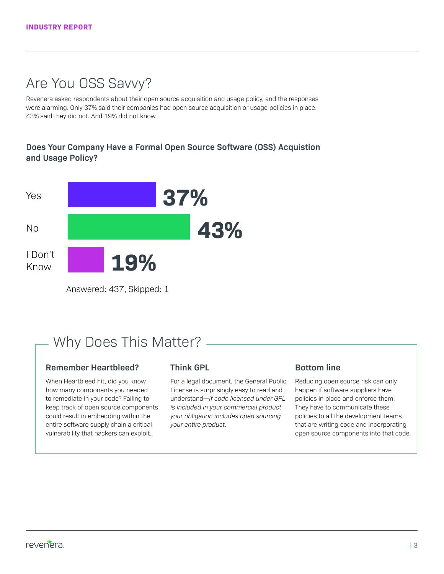### Are You OSS Savvy?

Revenera asked respondents about their open source acquisition and usage policy, and the responses were alarming. Only 37% said their companies had open source acquisition or usage policies in place. 43% said they did not. And 19% did not know.

### **Does Your Company Have a Formal Open Source Software (OSS) Acquistion and Usage Policy?**



Answered: 437, Skipped: 1

### Why Does This Matter?

#### **Remember Heartbleed?**

When Heartbleed hit, did you know how many components you needed to remediate in your code? Failing to keep track of open source components could result in embedding within the entire software supply chain a critical vulnerability that hackers can exploit.

#### **Think GPL**

For a legal document, the General Public License is surprisingly easy to read and understand—*if code licensed under GPL is included in your commercial product, your obligation includes open sourcing your entire product.*

### **Bottom line**

Reducing open source risk can only happen if software suppliers have policies in place and enforce them. They have to communicate these policies to all the development teams that are writing code and incorporating open source components into that code.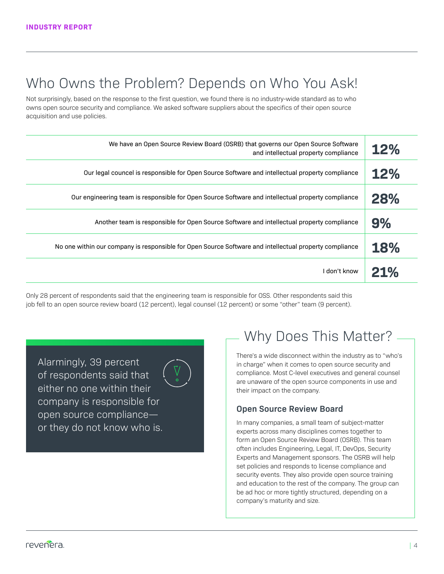### Who Owns the Problem? Depends on Who You Ask!

Not surprisingly, based on the response to the first question, we found there is no industry-wide standard as to who owns open source security and compliance. We asked software suppliers about the specifics of their open source acquisition and use policies.

| We have an Open Source Review Board (OSRB) that governs our Open Source Software<br>and intellectual property compliance | <b>12%</b> |
|--------------------------------------------------------------------------------------------------------------------------|------------|
| Our legal councel is responsible for Open Source Software and intellectual property compliance                           | 12%        |
| Our engineering team is responsible for Open Source Software and intellectual property compliance                        | 28%        |
| Another team is responsible for Open Source Software and intellectual property compliance                                | 9%         |
| No one within our company is responsible for Open Source Software and intellectual property compliance                   | 18%        |
| I don't know                                                                                                             | 21%        |

Only 28 percent of respondents said that the engineering team is responsible for OSS. Other respondents said this job fell to an open source review board (12 percent), legal counsel (12 percent) or some "other" team (9 percent).

Alarmingly, 39 percent of respondents said that either no one within their company is responsible for open source compliance or they do not know who is.



### Why Does This Matter?

There's a wide disconnect within the industry as to "who's in charge" when it comes to open source security and compliance. Most C-level executives and general counsel are unaware of the open source components in use and their impact on the company.

### **Open Source Review Board**

In many companies, a small team of subject-matter experts across many disciplines comes together to form an Open Source Review Board (OSRB). This team often includes Engineering, Legal, IT, DevOps, Security Experts and Management sponsors. The OSRB will help set policies and responds to license compliance and security events. They also provide open source training and education to the rest of the company. The group can be ad hoc or more tightly structured, depending on a company's maturity and size.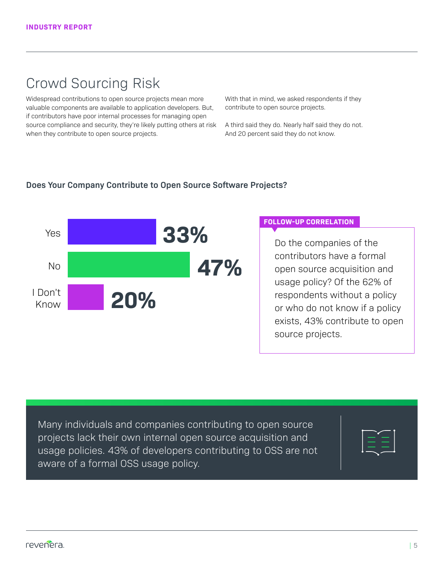### Crowd Sourcing Risk

Widespread contributions to open source projects mean more valuable components are available to application developers. But, if contributors have poor internal processes for managing open source compliance and security, they're likely putting others at risk when they contribute to open source projects.

With that in mind, we asked respondents if they contribute to open source projects.

A third said they do. Nearly half said they do not. And 20 percent said they do not know.

### **Does Your Company Contribute to Open Source Software Projects?**



#### **FOLLOW-UP CORRELATION**

Do the companies of the contributors have a formal open source acquisition and usage policy? Of the 62% of respondents without a policy or who do not know if a policy exists, 43% contribute to open source projects.

Many individuals and companies contributing to open source projects lack their own internal open source acquisition and usage policies. 43% of developers contributing to OSS are not aware of a formal OSS usage policy.

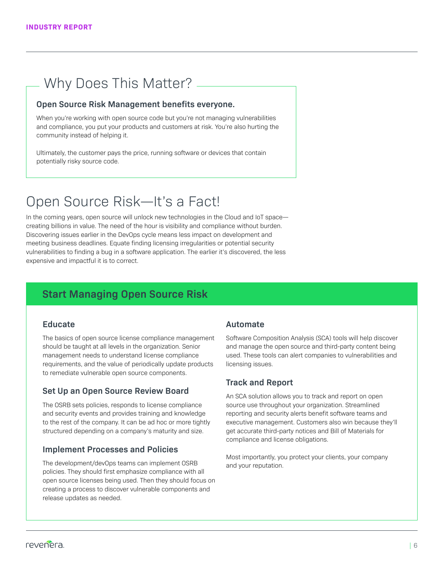### Why Does This Matter?

#### **Open Source Risk Management benefits everyone.**

When you're working with open source code but you're not managing vulnerabilities and compliance, you put your products and customers at risk. You're also hurting the community instead of helping it.

Ultimately, the customer pays the price, running software or devices that contain potentially risky source code.

### Open Source Risk—It's a Fact!

In the coming years, open source will unlock new technologies in the Cloud and IoT space creating billions in value. The need of the hour is visibility and compliance without burden. Discovering issues earlier in the DevOps cycle means less impact on development and meeting business deadlines. Equate finding licensing irregularities or potential security vulnerabilities to finding a bug in a software application. The earlier it's discovered, the less expensive and impactful it is to correct.

### **Start Managing Open Source Risk**

#### **Educate**

The basics of open source license compliance management should be taught at all levels in the organization. Senior management needs to understand license compliance requirements, and the value of periodically update products to remediate vulnerable open source components.

### **Set Up an Open Source Review Board**

The OSRB sets policies, responds to license compliance and security events and provides training and knowledge to the rest of the company. It can be ad hoc or more tightly structured depending on a company's maturity and size.

### **Implement Processes and Policies**

The development/devOps teams can implement OSRB policies. They should first emphasize compliance with all open source licenses being used. Then they should focus on creating a process to discover vulnerable components and release updates as needed.

#### **Automate**

Software Composition Analysis (SCA) tools will help discover and manage the open source and third-party content being used. These tools can alert companies to vulnerabilities and licensing issues.

### **Track and Report**

An SCA solution allows you to track and report on open source use throughout your organization. Streamlined reporting and security alerts benefit software teams and executive management. Customers also win because they'll get accurate third-party notices and Bill of Materials for compliance and license obligations.

Most importantly, you protect your clients, your company and your reputation.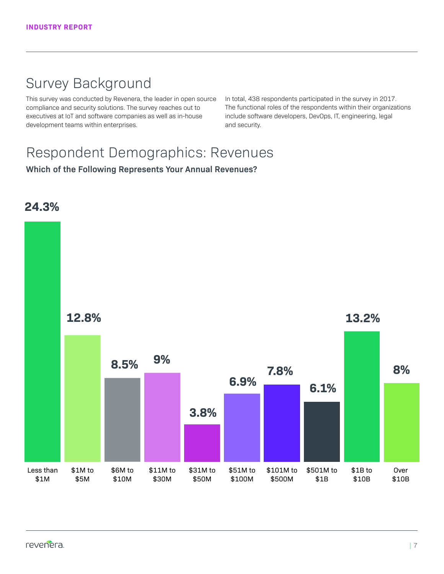### Survey Background

This survey was conducted by Revenera, the leader in open source compliance and security solutions. The survey reaches out to executives at IoT and software companies as well as in-house development teams within enterprises.

In total, 438 respondents participated in the survey in 2017. The functional roles of the respondents within their organizations include software developers, DevOps, IT, engineering, legal and security.

### Respondent Demographics: Revenues

**Which of the Following Represents Your Annual Revenues?**

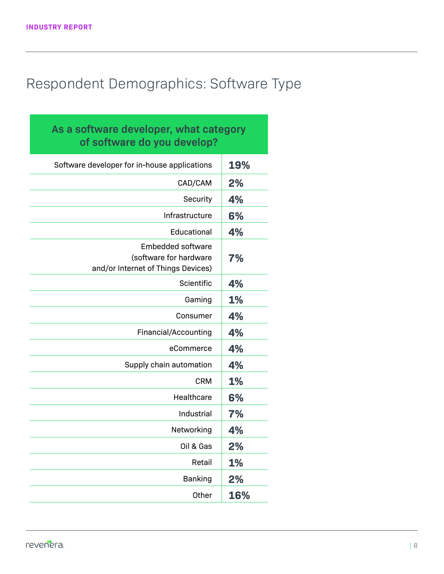### Respondent Demographics: Software Type

| As a software developer, what category<br>of software do you develop?                    |           |
|------------------------------------------------------------------------------------------|-----------|
| Software developer for in-house applications                                             | 19%       |
| CAD/CAM                                                                                  | 2%        |
| Security                                                                                 | 4%        |
| Infrastructure                                                                           | 6%        |
| Educational                                                                              | 4%        |
| <b>Embedded software</b><br>(software for hardware<br>and/or Internet of Things Devices) | 7%        |
| Scientific                                                                               | 4%        |
| Gaming                                                                                   | 1%        |
| Consumer                                                                                 | 4%        |
| Financial/Accounting                                                                     | 4%        |
| eCommerce                                                                                | 4%        |
| Supply chain automation                                                                  | 4%        |
| <b>CRM</b>                                                                               | 1%        |
| Healthcare                                                                               | 6%        |
| Industrial                                                                               | 7%        |
| Networking                                                                               | 4%        |
| Oil & Gas                                                                                | 2%        |
| Retail                                                                                   | <b>1%</b> |
| <b>Banking</b>                                                                           | 2%        |
| Other                                                                                    | 16%       |